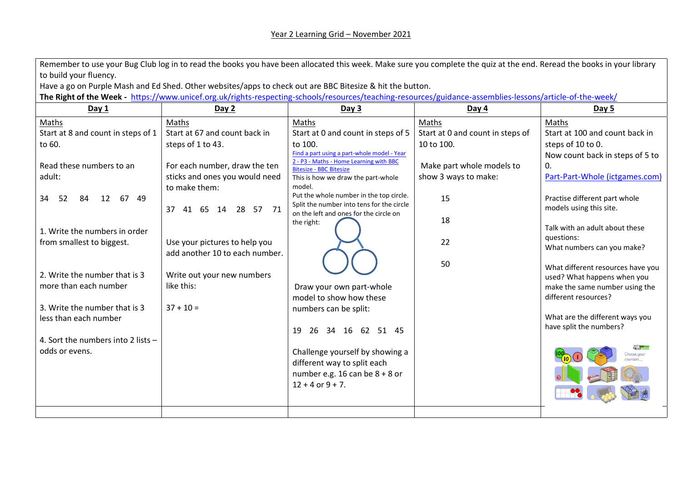| Remember to use your Bug Club log in to read the books you have been allocated this week. Make sure you complete the quiz at the end. Reread the books in your library |                                                                                                                                                           |                                                                                     |                                  |                                   |  |  |  |
|------------------------------------------------------------------------------------------------------------------------------------------------------------------------|-----------------------------------------------------------------------------------------------------------------------------------------------------------|-------------------------------------------------------------------------------------|----------------------------------|-----------------------------------|--|--|--|
| to build your fluency.                                                                                                                                                 |                                                                                                                                                           |                                                                                     |                                  |                                   |  |  |  |
| Have a go on Purple Mash and Ed Shed. Other websites/apps to check out are BBC Bitesize & hit the button.                                                              |                                                                                                                                                           |                                                                                     |                                  |                                   |  |  |  |
|                                                                                                                                                                        | The Right of the Week - https://www.unicef.org.uk/rights-respecting-schools/resources/teaching-resources/guidance-assemblies-lessons/article-of-the-week/ |                                                                                     |                                  |                                   |  |  |  |
| Day 1                                                                                                                                                                  | Day 2                                                                                                                                                     | Day 3                                                                               | Day $4$                          | <b>Day 5</b>                      |  |  |  |
| Maths                                                                                                                                                                  | Maths                                                                                                                                                     | Maths                                                                               | Maths                            | Maths                             |  |  |  |
| Start at 8 and count in steps of 1                                                                                                                                     | Start at 67 and count back in                                                                                                                             | Start at 0 and count in steps of 5                                                  | Start at 0 and count in steps of | Start at 100 and count back in    |  |  |  |
| to 60.                                                                                                                                                                 | steps of 1 to 43.                                                                                                                                         | to 100.                                                                             | 10 to 100.                       | steps of 10 to 0.                 |  |  |  |
|                                                                                                                                                                        |                                                                                                                                                           | Find a part using a part-whole model - Year                                         |                                  | Now count back in steps of 5 to   |  |  |  |
| Read these numbers to an                                                                                                                                               | For each number, draw the ten                                                                                                                             | 2 - P3 - Maths - Home Learning with BBC<br><b>Bitesize - BBC Bitesize</b>           | Make part whole models to        | 0.                                |  |  |  |
| adult:                                                                                                                                                                 | sticks and ones you would need                                                                                                                            | This is how we draw the part-whole                                                  | show 3 ways to make:             | Part-Part-Whole (ictgames.com)    |  |  |  |
|                                                                                                                                                                        | to make them:                                                                                                                                             | model.                                                                              |                                  |                                   |  |  |  |
| 12 67 49<br>34<br>84<br>52                                                                                                                                             |                                                                                                                                                           | Put the whole number in the top circle.                                             | 15                               | Practise different part whole     |  |  |  |
|                                                                                                                                                                        | 37 41 65 14 28 57 71                                                                                                                                      | Split the number into tens for the circle<br>on the left and ones for the circle on |                                  | models using this site.           |  |  |  |
|                                                                                                                                                                        |                                                                                                                                                           | the right:                                                                          | 18                               |                                   |  |  |  |
| 1. Write the numbers in order                                                                                                                                          |                                                                                                                                                           |                                                                                     |                                  | Talk with an adult about these    |  |  |  |
| from smallest to biggest.                                                                                                                                              | Use your pictures to help you                                                                                                                             |                                                                                     | 22                               | questions:                        |  |  |  |
|                                                                                                                                                                        | add another 10 to each number.                                                                                                                            |                                                                                     |                                  | What numbers can you make?        |  |  |  |
|                                                                                                                                                                        |                                                                                                                                                           |                                                                                     | 50                               | What different resources have you |  |  |  |
| 2. Write the number that is 3                                                                                                                                          | Write out your new numbers                                                                                                                                |                                                                                     |                                  | used? What happens when you       |  |  |  |
| more than each number                                                                                                                                                  | like this:                                                                                                                                                | Draw your own part-whole                                                            |                                  | make the same number using the    |  |  |  |
|                                                                                                                                                                        |                                                                                                                                                           | model to show how these                                                             |                                  | different resources?              |  |  |  |
| 3. Write the number that is 3                                                                                                                                          | $37 + 10 =$                                                                                                                                               | numbers can be split:                                                               |                                  |                                   |  |  |  |
| less than each number                                                                                                                                                  |                                                                                                                                                           |                                                                                     |                                  | What are the different ways you   |  |  |  |
|                                                                                                                                                                        |                                                                                                                                                           | 26 34 16 62 51 45<br>19                                                             |                                  | have split the numbers?           |  |  |  |
| 4. Sort the numbers into 2 lists -                                                                                                                                     |                                                                                                                                                           |                                                                                     |                                  |                                   |  |  |  |
| odds or evens.                                                                                                                                                         |                                                                                                                                                           | Challenge yourself by showing a                                                     |                                  | Choose your                       |  |  |  |
|                                                                                                                                                                        |                                                                                                                                                           | different way to split each                                                         |                                  |                                   |  |  |  |
|                                                                                                                                                                        |                                                                                                                                                           | number e.g. 16 can be $8 + 8$ or                                                    |                                  |                                   |  |  |  |
|                                                                                                                                                                        |                                                                                                                                                           | $12 + 4$ or $9 + 7$ .                                                               |                                  |                                   |  |  |  |
|                                                                                                                                                                        |                                                                                                                                                           |                                                                                     |                                  |                                   |  |  |  |
|                                                                                                                                                                        |                                                                                                                                                           |                                                                                     |                                  |                                   |  |  |  |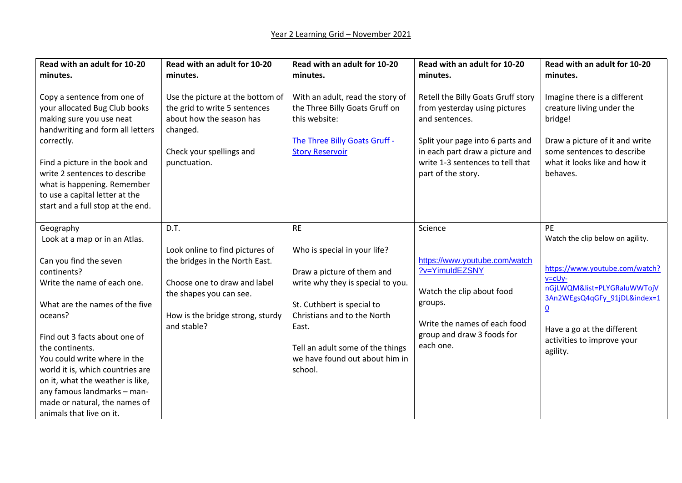| Read with an adult for 10-20<br>minutes.                                                                                                                                                                                                                                                                                                                                                                                | Read with an adult for 10-20<br>minutes.                                                                                                                                                | Read with an adult for 10-20<br>minutes.                                                                                                                                                                                                                            | Read with an adult for 10-20<br>minutes.                                                                                                                                                                               | Read with an adult for 10-20<br>minutes.                                                                                                                                                                                                                          |
|-------------------------------------------------------------------------------------------------------------------------------------------------------------------------------------------------------------------------------------------------------------------------------------------------------------------------------------------------------------------------------------------------------------------------|-----------------------------------------------------------------------------------------------------------------------------------------------------------------------------------------|---------------------------------------------------------------------------------------------------------------------------------------------------------------------------------------------------------------------------------------------------------------------|------------------------------------------------------------------------------------------------------------------------------------------------------------------------------------------------------------------------|-------------------------------------------------------------------------------------------------------------------------------------------------------------------------------------------------------------------------------------------------------------------|
| Copy a sentence from one of<br>your allocated Bug Club books<br>making sure you use neat<br>handwriting and form all letters<br>correctly.<br>Find a picture in the book and<br>write 2 sentences to describe<br>what is happening. Remember<br>to use a capital letter at the<br>start and a full stop at the end.                                                                                                     | Use the picture at the bottom of<br>the grid to write 5 sentences<br>about how the season has<br>changed.<br>Check your spellings and<br>punctuation.                                   | With an adult, read the story of<br>the Three Billy Goats Gruff on<br>this website:<br>The Three Billy Goats Gruff -<br><b>Story Reservoir</b>                                                                                                                      | Retell the Billy Goats Gruff story<br>from yesterday using pictures<br>and sentences.<br>Split your page into 6 parts and<br>in each part draw a picture and<br>write 1-3 sentences to tell that<br>part of the story. | Imagine there is a different<br>creature living under the<br>bridge!<br>Draw a picture of it and write<br>some sentences to describe<br>what it looks like and how it<br>behaves.                                                                                 |
| Geography<br>Look at a map or in an Atlas.<br>Can you find the seven<br>continents?<br>Write the name of each one.<br>What are the names of the five<br>oceans?<br>Find out 3 facts about one of<br>the continents.<br>You could write where in the<br>world it is, which countries are<br>on it, what the weather is like,<br>any famous landmarks - man-<br>made or natural, the names of<br>animals that live on it. | D.T.<br>Look online to find pictures of<br>the bridges in the North East.<br>Choose one to draw and label<br>the shapes you can see.<br>How is the bridge strong, sturdy<br>and stable? | <b>RE</b><br>Who is special in your life?<br>Draw a picture of them and<br>write why they is special to you.<br>St. Cuthbert is special to<br>Christians and to the North<br>East.<br>Tell an adult some of the things<br>we have found out about him in<br>school. | Science<br>https://www.youtube.com/watch<br>?v=YimuIdEZSNY<br>Watch the clip about food<br>groups.<br>Write the names of each food<br>group and draw 3 foods for<br>each one.                                          | <b>PE</b><br>Watch the clip below on agility.<br>https://www.youtube.com/watch?<br>$v = cUy -$<br>nGjLWQM&list=PLYGRaluWWTojV<br>3An2WEgsQ4qGFy 91jDL&index=1<br>$\underline{\mathbf{0}}$<br>Have a go at the different<br>activities to improve your<br>agility. |